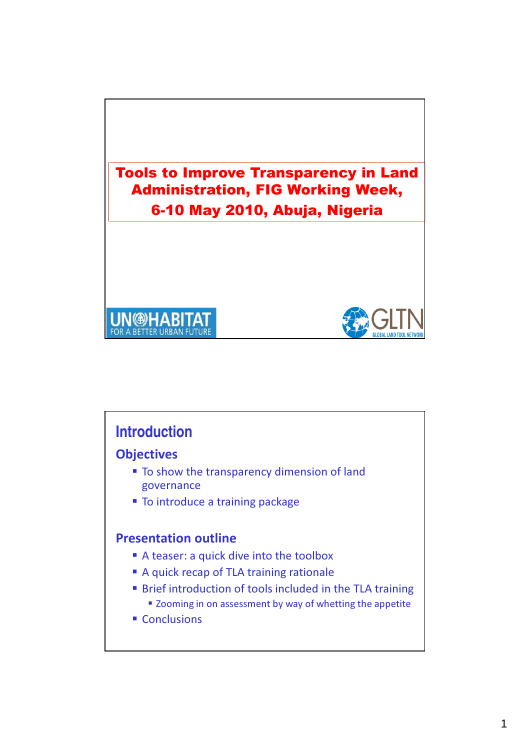

### **Introduction**

#### **Objectives**

- To show the transparency dimension of land governance
- To introduce a training package

#### Presentation outline

- A teaser: a quick dive into the toolbox
- A quick recap of TLA training rationale
- Brief introduction of tools included in the TLA training ■ Zooming in on assessment by way of whetting the appetite
- Conclusions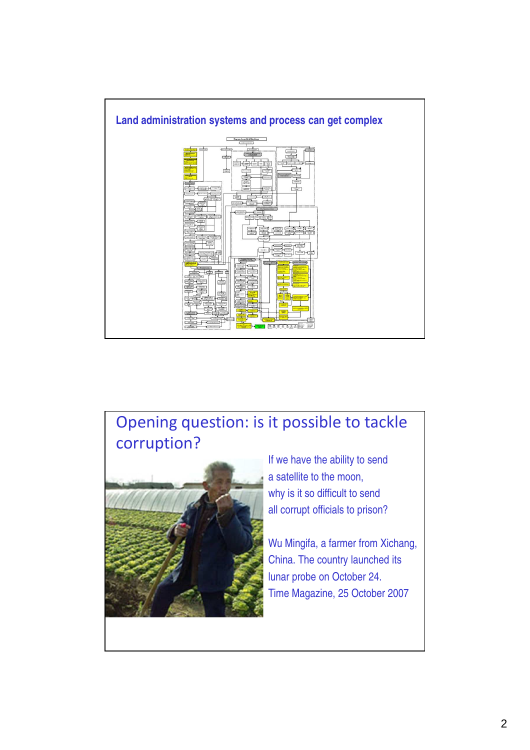

## Opening question: is it possible to tackle corruption?



If we have the ability to send a satellite to the moon, why is it so difficult to send all corrupt officials to prison?

Wu Mingifa, a farmer from Xichang, China. The country launched its lunar probe on October 24. Time Magazine, 25 October 2007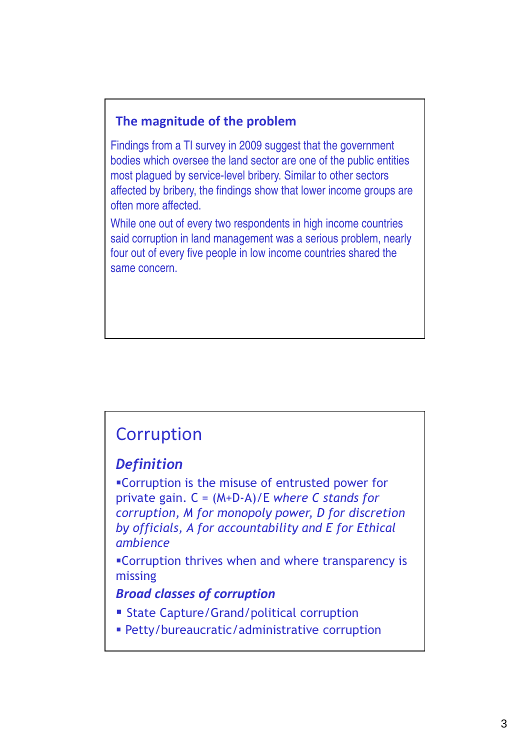#### The magnitude of the problem

Findings from a TI survey in 2009 suggest that the government bodies which oversee the land sector are one of the public entities most plagued by service-level bribery. Similar to other sectors affected by bribery, the findings show that lower income groups are often more affected.

While one out of every two respondents in high income countries said corruption in land management was a serious problem, nearly four out of every five people in low income countries shared the same concern.

## **Corruption**

### **Definition**

Corruption is the misuse of entrusted power for private gain.  $C = (M+D-A)/E$  where C stands for corruption, M for monopoly power, D for discretion by officials, A for accountability and E for Ethical ambience

Corruption thrives when and where transparency is missing

#### Broad classes of corruption

- State Capture/Grand/political corruption
- Petty/bureaucratic/administrative corruption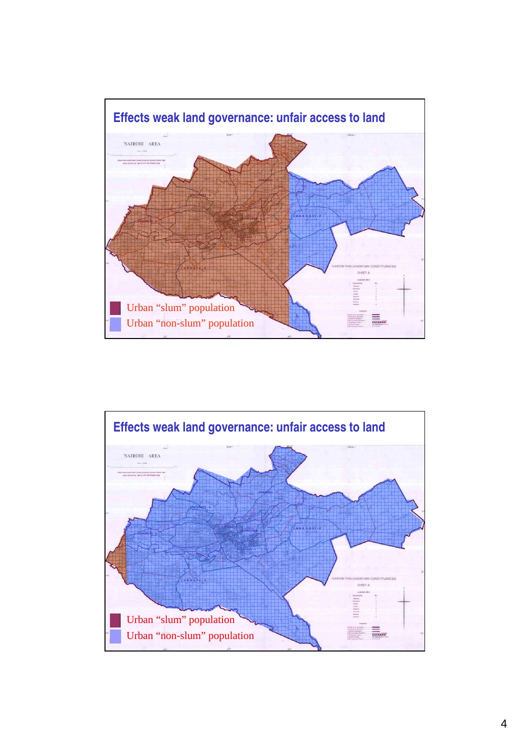

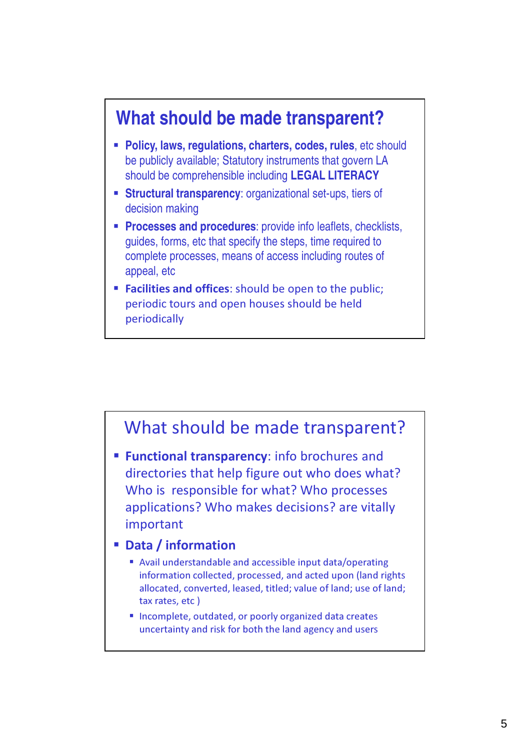# **What should be made transparent?**

- **Policy, laws, regulations, charters, codes, rules**, etc should be publicly available; Statutory instruments that govern LA should be comprehensible including **LEGAL LITERACY**
- **Structural transparency: organizational set-ups, tiers of** decision making
- **Processes and procedures:** provide info leaflets, checklists, guides, forms, etc that specify the steps, time required to complete processes, means of access including routes of appeal, etc
- **Facilities and offices:** should be open to the public; periodic tours and open houses should be held periodically

## What should be made transparent?

**Functional transparency:** info brochures and directories that help figure out who does what? Who is responsible for what? Who processes applications? Who makes decisions? are vitally important

#### Data / information

- Avail understandable and accessible input data/operating information collected, processed, and acted upon (land rights allocated, converted, leased, titled; value of land; use of land; tax rates, etc )
- **Incomplete, outdated, or poorly organized data creates** uncertainty and risk for both the land agency and users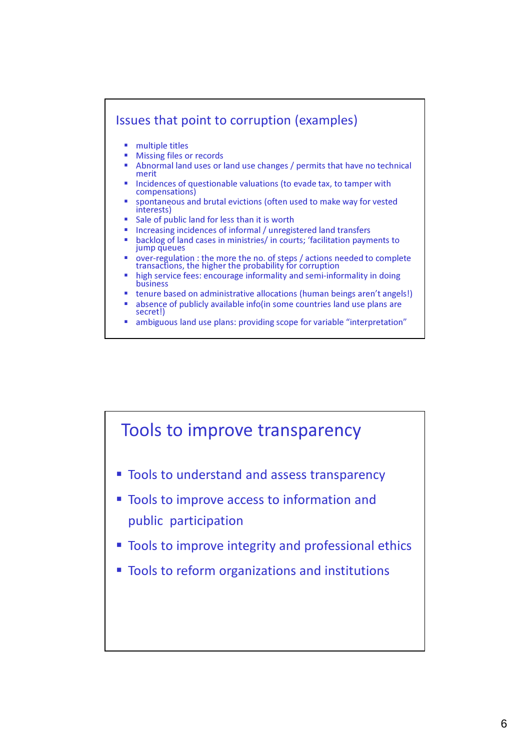

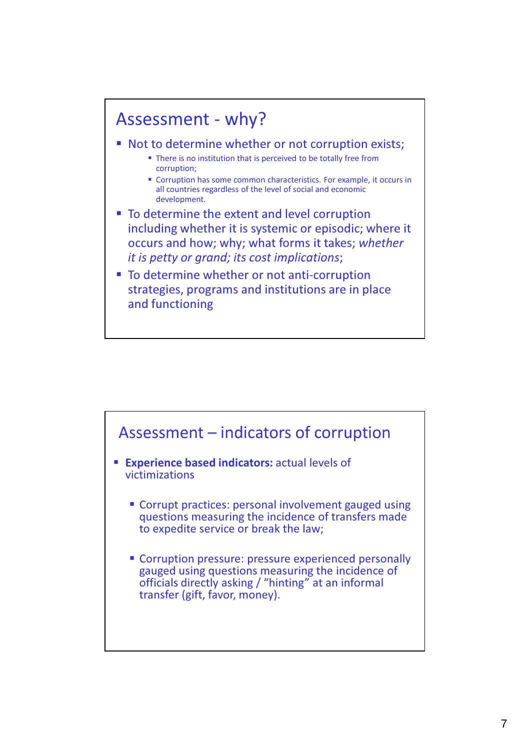## Assessment - why?

- Not to determine whether or not corruption exists;
	- **There is no institution that is perceived to be totally free from** corruption;
	- Corruption has some common characteristics. For example, it occurs in all countries regardless of the level of social and economic development.
- To determine the extent and level corruption including whether it is systemic or episodic; where it occurs and how; why; what forms it takes; whether it is petty or grand; its cost implications;
- To determine whether or not anti-corruption strategies, programs and institutions are in place and functioning

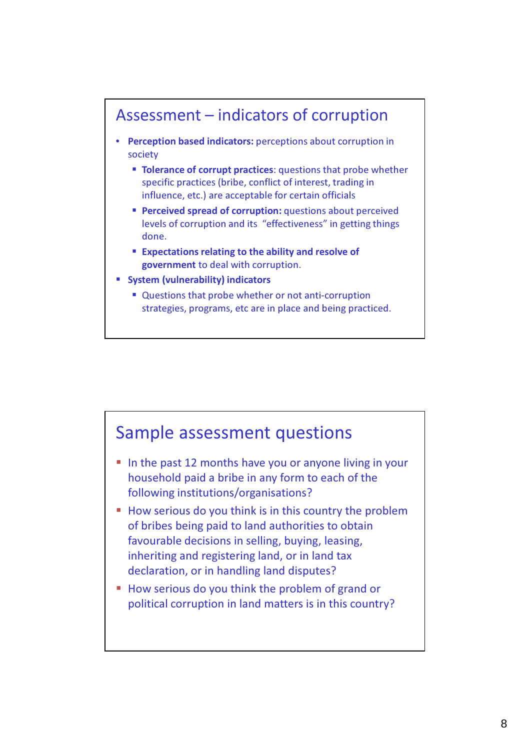## Assessment – indicators of corruption

- Perception based indicators: perceptions about corruption in society
	- **Tolerance of corrupt practices:** questions that probe whether specific practices (bribe, conflict of interest, trading in influence, etc.) are acceptable for certain officials
	- **Perceived spread of corruption:** questions about perceived levels of corruption and its "effectiveness" in getting things done.
	- Expectations relating to the ability and resolve of government to deal with corruption.
- System (vulnerability) indicators
	- Questions that probe whether or not anti-corruption strategies, programs, etc are in place and being practiced.



- In the past 12 months have you or anyone living in your household paid a bribe in any form to each of the following institutions/organisations?
- $\blacksquare$  How serious do you think is in this country the problem of bribes being paid to land authorities to obtain favourable decisions in selling, buying, leasing, inheriting and registering land, or in land tax declaration, or in handling land disputes?
- How serious do you think the problem of grand or political corruption in land matters is in this country?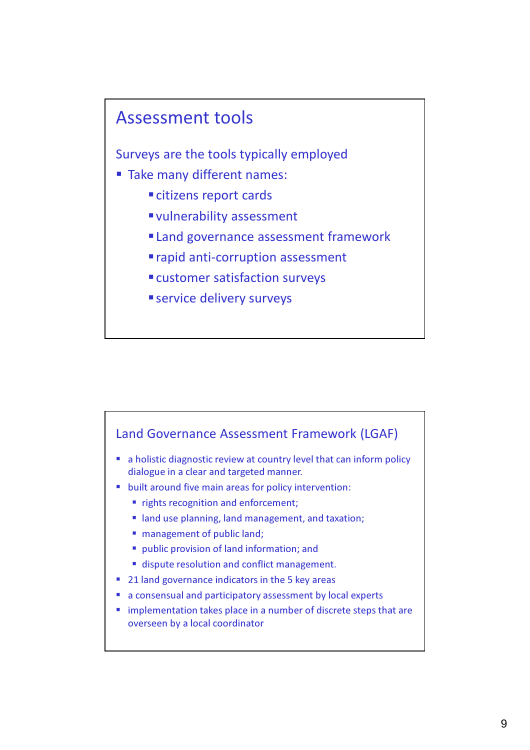## Assessment tools

Surveys are the tools typically employed

- **Take many different names:** 
	- citizens report cards
	- vulnerability assessment
	- **Land governance assessment framework**
	- rapid anti-corruption assessment
	- customer satisfaction surveys
	- **service delivery surveys**

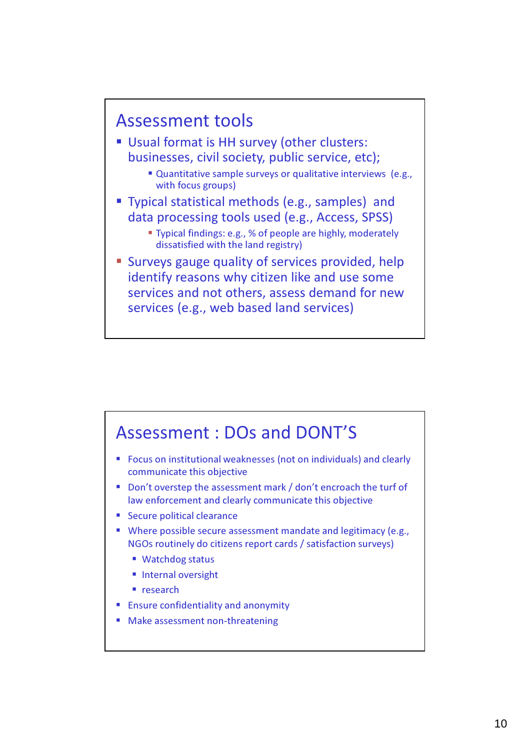

- Usual format is HH survey (other clusters: businesses, civil society, public service, etc);
	- Quantitative sample surveys or qualitative interviews (e.g., with focus groups)
- Typical statistical methods (e.g., samples) and data processing tools used (e.g., Access, SPSS)
	- Typical findings: e.g., % of people are highly, moderately dissatisfied with the land registry)
- **Surveys gauge quality of services provided, help** identify reasons why citizen like and use some services and not others, assess demand for new services (e.g., web based land services)



- **FICULT 5 FOCUS ON INSTITUTIONAL EXAMPLE 2018** FOCUS **on individuals)** and clearly communicate this objective
- Don't overstep the assessment mark / don't encroach the turf of law enforcement and clearly communicate this objective
- Secure political clearance
- Where possible secure assessment mandate and legitimacy (e.g., NGOs routinely do citizens report cards / satisfaction surveys)
	- Watchdog status
	- **Internal oversight**
	- research
- **Ensure confidentiality and anonymity**
- **Make assessment non-threatening**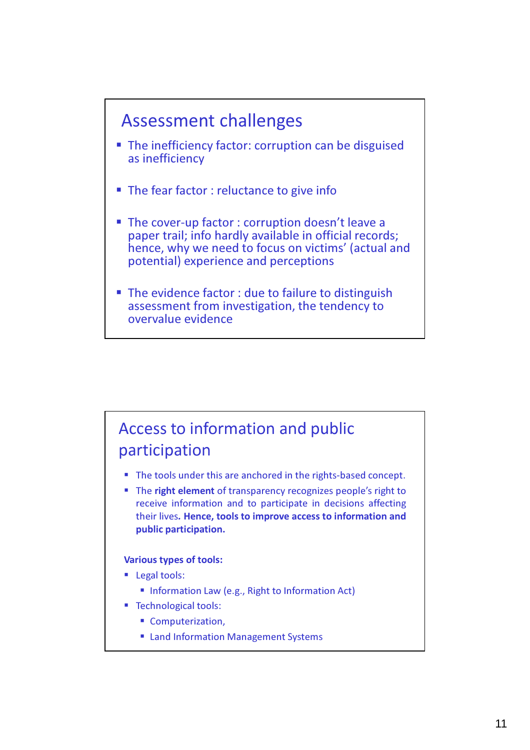

overvalue evidence

## Access to information and public participation

- The tools under this are anchored in the rights-based concept.
- The right element of transparency recognizes people's right to receive information and to participate in decisions affecting their lives. Hence, tools to improve access to information and public participation.

#### Various types of tools:

- **Legal tools:** 
	- **Information Law (e.g., Right to Information Act)**
- **Technological tools:** 
	- **Computerization,**
	- **Example 1** Land Information Management Systems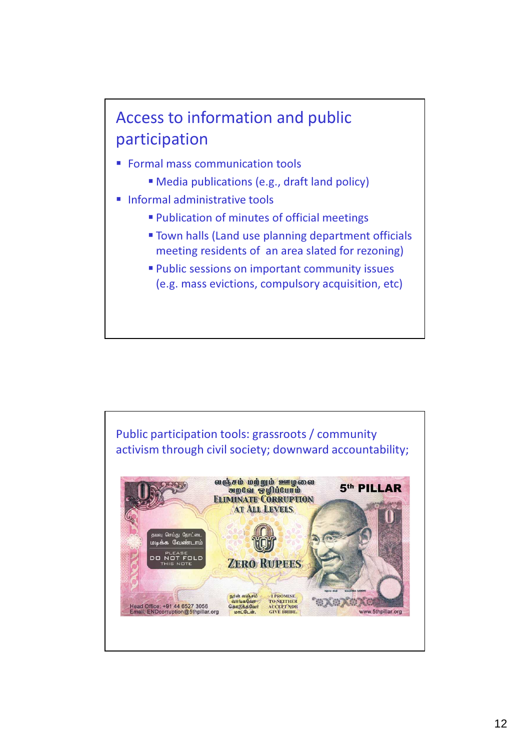## Access to information and public participation

- **Formal mass communication tools** 
	- Media publications (e.g., draft land policy)
- **Informal administrative tools** 
	- Publication of minutes of official meetings
	- **Town halls (Land use planning department officials** meeting residents of an area slated for rezoning)
	- Public sessions on important community issues (e.g. mass evictions, compulsory acquisition, etc)

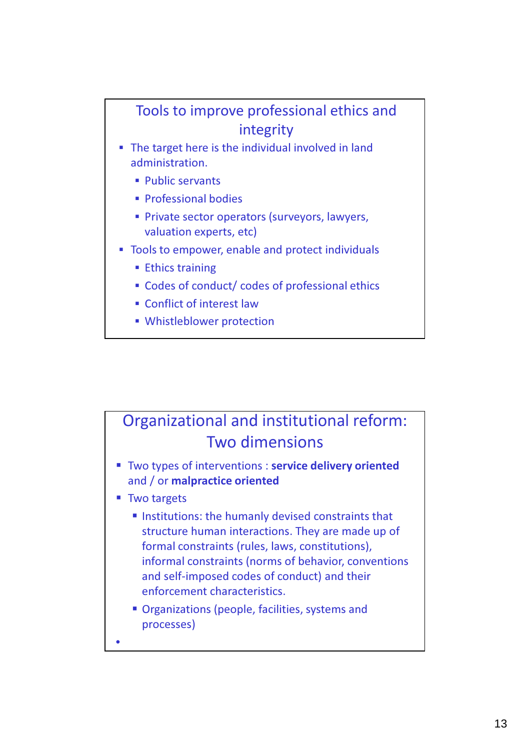### Tools to improve professional ethics and integrity

- The target here is the individual involved in land administration.
	- **Public servants**
	- **Professional bodies**
	- **Private sector operators (surveyors, lawyers,** valuation experts, etc)
- Tools to empower, enable and protect individuals
	- **Ethics training**
	- Codes of conduct/ codes of professional ethics
	- **Conflict of interest law**
	- Whistleblower protection

## Organizational and institutional reform: Two dimensions

- Two types of interventions : service delivery oriented and / or malpractice oriented
- Two targets
	- Institutions: the humanly devised constraints that structure human interactions. They are made up of formal constraints (rules, laws, constitutions), informal constraints (norms of behavior, conventions and self-imposed codes of conduct) and their enforcement characteristics.
	- **Organizations (people, facilities, systems and** processes)

•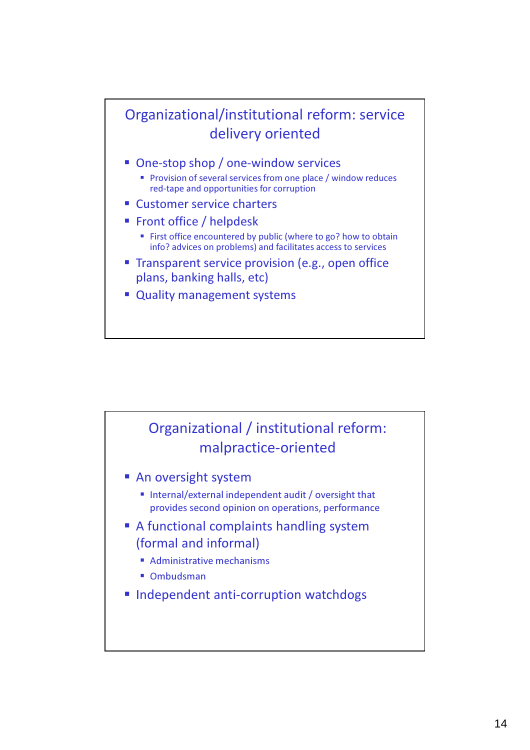### Organizational/institutional reform: service delivery oriented

- One-stop shop / one-window services
	- **Provision of several services from one place / window reduces** red-tape and opportunities for corruption
- Customer service charters
- **Front office / helpdesk** 
	- First office encountered by public (where to go? how to obtain info? advices on problems) and facilitates access to services
- **Transparent service provision (e.g., open office** plans, banking halls, etc)
- **Quality management systems**

## Organizational / institutional reform: malpractice-oriented

- **An oversight system** 
	- Internal/external independent audit / oversight that provides second opinion on operations, performance
- A functional complaints handling system (formal and informal)
	- **Administrative mechanisms**
	- Ombudsman
- **Independent anti-corruption watchdogs**